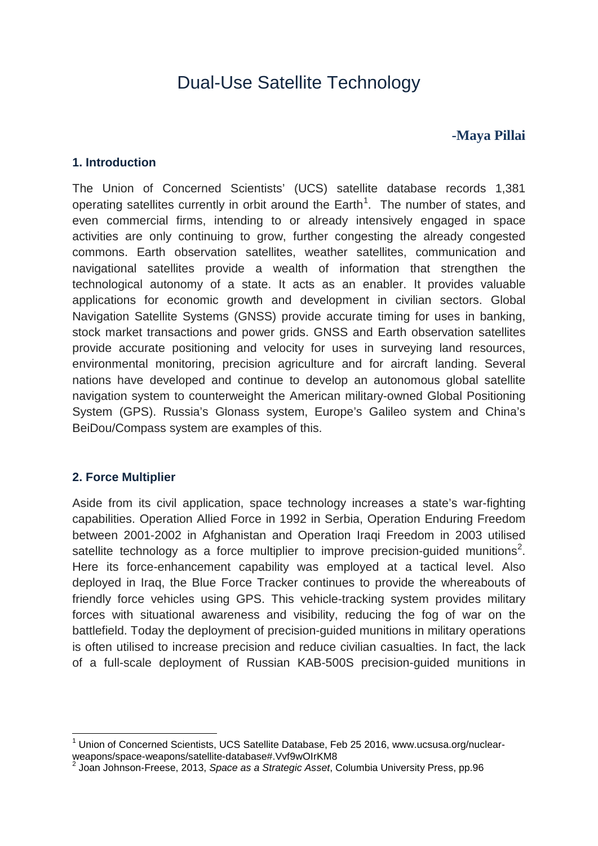# Dual-Use Satellite Technology

# **-Maya Pillai**

#### **1. Introduction**

The Union of Concerned Scientists' (UCS) satellite database records 1,381 operating satellites currently in orbit around the Earth<sup>[1](#page-0-0)</sup>. The number of states, and even commercial firms, intending to or already intensively engaged in space activities are only continuing to grow, further congesting the already congested commons. Earth observation satellites, weather satellites, communication and navigational satellites provide a wealth of information that strengthen the technological autonomy of a state. It acts as an enabler. It provides valuable applications for economic growth and development in civilian sectors. Global Navigation Satellite Systems (GNSS) provide accurate timing for uses in banking, stock market transactions and power grids. GNSS and Earth observation satellites provide accurate positioning and velocity for uses in surveying land resources, environmental monitoring, precision agriculture and for aircraft landing. Several nations have developed and continue to develop an autonomous global satellite navigation system to counterweight the American military-owned Global Positioning System (GPS). Russia's Glonass system, Europe's Galileo system and China's BeiDou/Compass system are examples of this.

# **2. Force Multiplier**

Aside from its civil application, space technology increases a state's war-fighting capabilities. Operation Allied Force in 1992 in Serbia, Operation Enduring Freedom between 2001-2002 in Afghanistan and Operation Iraqi Freedom in 2003 utilised satellite technology as a force multiplier to improve precision-guided munitions<sup>[2](#page-0-1)</sup>. Here its force-enhancement capability was employed at a tactical level. Also deployed in Iraq, the Blue Force Tracker continues to provide the whereabouts of friendly force vehicles using GPS. This vehicle-tracking system provides military forces with situational awareness and visibility, reducing the fog of war on the battlefield. Today the deployment of precision-guided munitions in military operations is often utilised to increase precision and reduce civilian casualties. In fact, the lack of a full-scale deployment of Russian KAB-500S precision-guided munitions in

<span id="page-0-0"></span><sup>1</sup> Union of Concerned Scientists, UCS Satellite Database, Feb 25 2016, www.ucsusa.org/nuclearweapons/space-weapons/satellite-database#.Vvf9wOIrKM8

<span id="page-0-1"></span><sup>2</sup> Joan Johnson-Freese, 2013, *Space as a Strategic Asset*, Columbia University Press, pp.96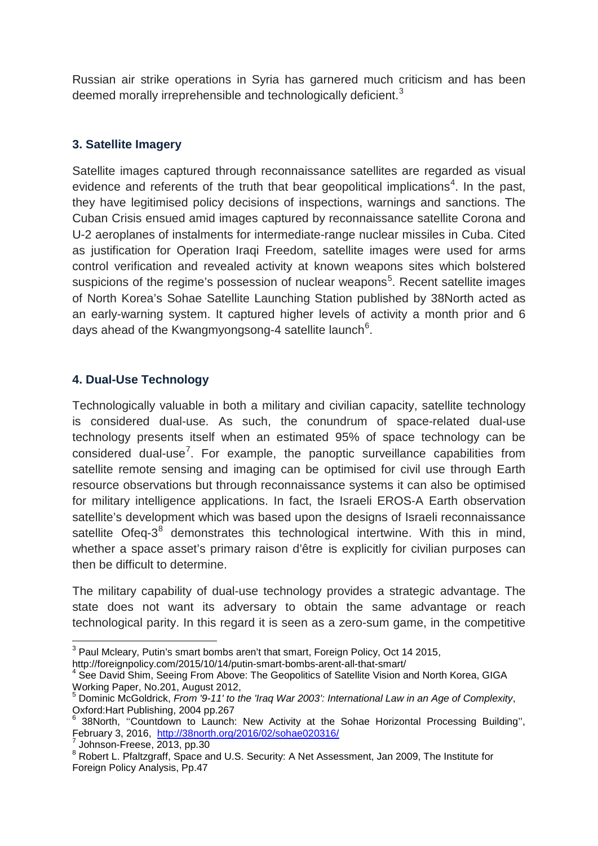Russian air strike operations in Syria has garnered much criticism and has been deemed morally irreprehensible and technologically deficient.<sup>[3](#page-1-0)</sup>

#### **3. Satellite Imagery**

Satellite images captured through reconnaissance satellites are regarded as visual evidence and referents of the truth that bear geopolitical implications<sup>[4](#page-1-1)</sup>. In the past, they have legitimised policy decisions of inspections, warnings and sanctions. The Cuban Crisis ensued amid images captured by reconnaissance satellite Corona and U-2 aeroplanes of instalments for intermediate-range nuclear missiles in Cuba. Cited as justification for Operation Iraqi Freedom, satellite images were used for arms control verification and revealed activity at known weapons sites which bolstered suspicions of the regime's possession of nuclear weapons<sup>[5](#page-1-2)</sup>. Recent satellite images of North Korea's Sohae Satellite Launching Station published by 38North acted as an early-warning system. It captured higher levels of activity a month prior and 6 days ahead of the Kwangmyongsong-4 satellite launch<sup>[6](#page-1-3)</sup>.

#### **4. Dual-Use Technology**

Technologically valuable in both a military and civilian capacity, satellite technology is considered dual-use. As such, the conundrum of space-related dual-use technology presents itself when an estimated 95% of space technology can be considered dual-use<sup>[7](#page-1-4)</sup>. For example, the panoptic surveillance capabilities from satellite remote sensing and imaging can be optimised for civil use through Earth resource observations but through reconnaissance systems it can also be optimised for military intelligence applications. In fact, the Israeli EROS-A Earth observation satellite's development which was based upon the designs of Israeli reconnaissance satellite Ofeq- $3<sup>8</sup>$  $3<sup>8</sup>$  $3<sup>8</sup>$  demonstrates this technological intertwine. With this in mind, whether a space asset's primary raison d'être is explicitly for civilian purposes can then be difficult to determine.

The military capability of dual-use technology provides a strategic advantage. The state does not want its adversary to obtain the same advantage or reach technological parity. In this regard it is seen as a zero-sum game, in the competitive

<span id="page-1-0"></span><sup>&</sup>lt;sup>3</sup> Paul Mcleary, Putin's smart bombs aren't that smart, Foreign Policy, Oct 14 2015,

http://foreignpolicy.com/2015/10/14/putin-smart-bombs-arent-all-that-smart/

<span id="page-1-1"></span><sup>&</sup>lt;sup>4</sup> See David Shim, Seeing From Above: The Geopolitics of Satellite Vision and North Korea, GIGA Working Paper, No.201, August 2012,

<span id="page-1-2"></span><sup>5</sup> Dominic McGoldrick, *From '9-11' to the 'Iraq War 2003': International Law in an Age of Complexity*,

<span id="page-1-3"></span><sup>&</sup>lt;sup>6</sup> 38North, "Countdown to Launch: New Activity at the Sohae Horizontal Processing Building",<br>February 3, 2016, http://38north.org/2016/02/sohae020316/

<span id="page-1-5"></span><span id="page-1-4"></span> $\frac{7}{8}$  Johnson-Freese, 2013, pp.30<br> $\frac{8}{8}$  Robert L. Pfaltzgraff, Space and U.S. Security: A Net Assessment, Jan 2009, The Institute for Foreign Policy Analysis, Pp.47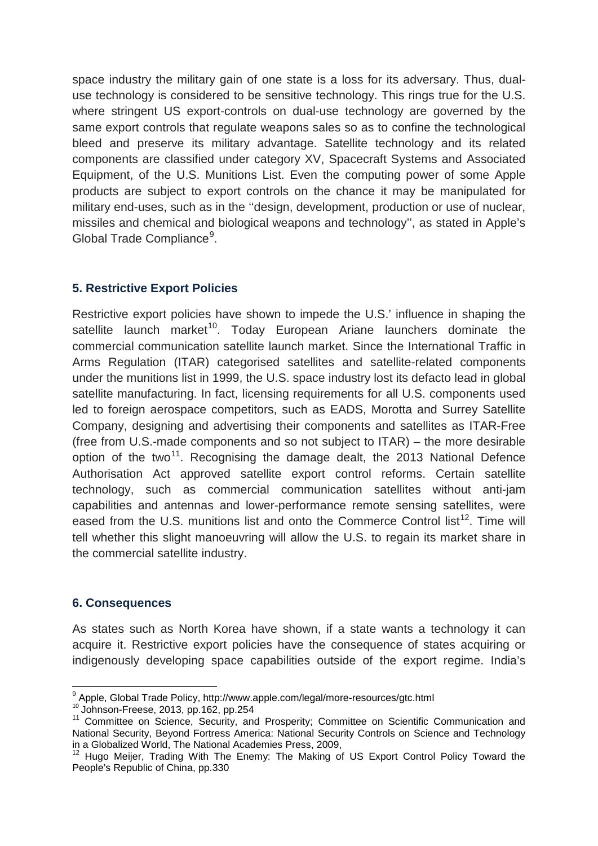space industry the military gain of one state is a loss for its adversary. Thus, dualuse technology is considered to be sensitive technology. This rings true for the U.S. where stringent US export-controls on dual-use technology are governed by the same export controls that regulate weapons sales so as to confine the technological bleed and preserve its military advantage. Satellite technology and its related components are classified under category XV, Spacecraft Systems and Associated Equipment, of the U.S. Munitions List. Even the computing power of some Apple products are subject to export controls on the chance it may be manipulated for military end-uses, such as in the ''design, development, production or use of nuclear, missiles and chemical and biological weapons and technology'', as stated in Apple's Global Trade Compliance<sup>[9](#page-2-0)</sup>.

# **5. Restrictive Export Policies**

Restrictive export policies have shown to impede the U.S.' influence in shaping the satellite launch market<sup>[10](#page-2-1)</sup>. Today European Ariane launchers dominate the commercial communication satellite launch market. Since the International Traffic in Arms Regulation (ITAR) categorised satellites and satellite-related components under the munitions list in 1999, the U.S. space industry lost its defacto lead in global satellite manufacturing. In fact, licensing requirements for all U.S. components used led to foreign aerospace competitors, such as EADS, Morotta and Surrey Satellite Company, designing and advertising their components and satellites as ITAR-Free (free from U.S.-made components and so not subject to ITAR) – the more desirable option of the two<sup>[11](#page-2-2)</sup>. Recognising the damage dealt, the 2013 National Defence Authorisation Act approved satellite export control reforms. Certain satellite technology, such as commercial communication satellites without anti-jam capabilities and antennas and lower-performance remote sensing satellites, were eased from the U.S. munitions list and onto the Commerce Control list<sup>[12](#page-2-3)</sup>. Time will tell whether this slight manoeuvring will allow the U.S. to regain its market share in the commercial satellite industry.

# **6. Consequences**

As states such as North Korea have shown, if a state wants a technology it can acquire it. Restrictive export policies have the consequence of states acquiring or indigenously developing space capabilities outside of the export regime. India's

<span id="page-2-1"></span><span id="page-2-0"></span> $^{9}$  Apple, Global Trade Policy, http://www.apple.com/legal/more-resources/gtc.html  $^{10}$  Johnson-Freese, 2013, pp.162, pp.254

<span id="page-2-2"></span><sup>&</sup>lt;sup>11</sup> Committee on Science, Security, and Prosperity; Committee on Scientific Communication and National Security, Beyond Fortress America: National Security Controls on Science and Technology in a Globalized World, The National Academies Press, 2009,<br><sup>12</sup> Hugo Meijer, Trading With The Enemy: The Making of US Export Control Policy Toward the

<span id="page-2-3"></span>People's Republic of China, pp.330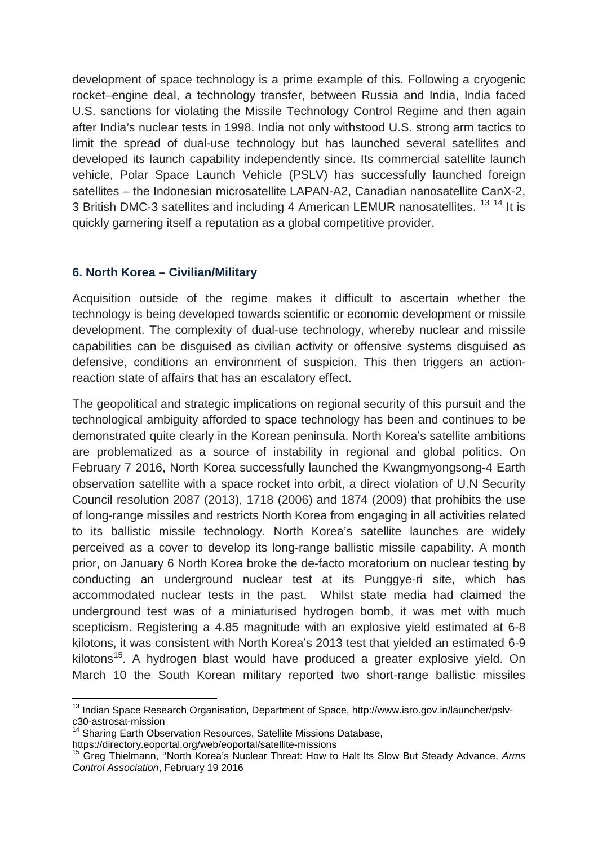development of space technology is a prime example of this. Following a cryogenic rocket–engine deal, a technology transfer, between Russia and India, India faced U.S. sanctions for violating the Missile Technology Control Regime and then again after India's nuclear tests in 1998. India not only withstood U.S. strong arm tactics to limit the spread of dual-use technology but has launched several satellites and developed its launch capability independently since. Its commercial satellite launch vehicle, Polar Space Launch Vehicle (PSLV) has successfully launched foreign satellites – the Indonesian microsatellite LAPAN-A2, Canadian nanosatellite CanX-2, 3 British DMC-3 satellites and including 4 American LEMUR nanosatellites. <sup>[13](#page-3-0) [14](#page-3-1)</sup> It is quickly garnering itself a reputation as a global competitive provider.

# **6. North Korea – Civilian/Military**

Acquisition outside of the regime makes it difficult to ascertain whether the technology is being developed towards scientific or economic development or missile development. The complexity of dual-use technology, whereby nuclear and missile capabilities can be disguised as civilian activity or offensive systems disguised as defensive, conditions an environment of suspicion. This then triggers an actionreaction state of affairs that has an escalatory effect.

The geopolitical and strategic implications on regional security of this pursuit and the technological ambiguity afforded to space technology has been and continues to be demonstrated quite clearly in the Korean peninsula. North Korea's satellite ambitions are problematized as a source of instability in regional and global politics. On February 7 2016, North Korea successfully launched the Kwangmyongsong-4 Earth observation satellite with a space rocket into orbit, a direct violation of U.N Security Council resolution 2087 (2013), 1718 (2006) and 1874 (2009) that prohibits the use of long-range missiles and restricts North Korea from engaging in all activities related to its ballistic missile technology. North Korea's satellite launches are widely perceived as a cover to develop its long-range ballistic missile capability. A month prior, on January 6 North Korea broke the de-facto moratorium on nuclear testing by conducting an underground nuclear test at its Punggye-ri site, which has accommodated nuclear tests in the past. Whilst state media had claimed the underground test was of a miniaturised hydrogen bomb, it was met with much scepticism. Registering a 4.85 magnitude with an explosive yield estimated at 6-8 kilotons, it was consistent with North Korea's 2013 test that yielded an estimated 6-9 kilotons<sup>[15](#page-3-2)</sup>. A hydrogen blast would have produced a greater explosive yield. On March 10 the South Korean military reported two short-range ballistic missiles

<span id="page-3-0"></span><sup>&</sup>lt;sup>13</sup> Indian Space Research Organisation, Department of Space, http://www.isro.gov.in/launcher/pslvc30-astrosat-mission

<sup>14</sup> Sharing Earth Observation Resources, Satellite Missions Database,

<span id="page-3-1"></span>https://directory.eoportal.org/web/eoportal/satellite-missions

<span id="page-3-2"></span><sup>15</sup> Greg Thielmann, ''North Korea's Nuclear Threat: How to Halt Its Slow But Steady Advance, *Arms Control Association*, February 19 2016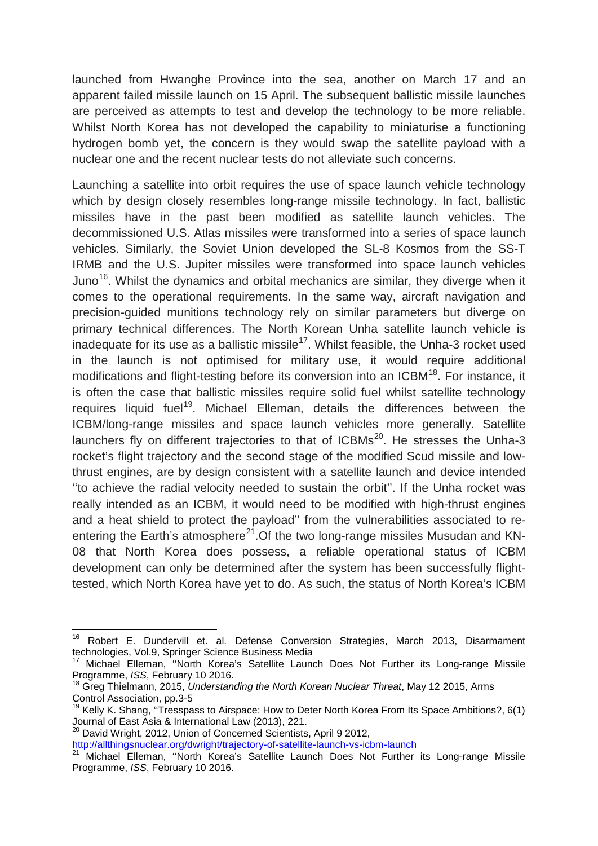launched from Hwanghe Province into the sea, another on March 17 and an apparent failed missile launch on 15 April. The subsequent ballistic missile launches are perceived as attempts to test and develop the technology to be more reliable. Whilst North Korea has not developed the capability to miniaturise a functioning hydrogen bomb yet, the concern is they would swap the satellite payload with a nuclear one and the recent nuclear tests do not alleviate such concerns.

Launching a satellite into orbit requires the use of space launch vehicle technology which by design closely resembles long-range missile technology. In fact, ballistic missiles have in the past been modified as satellite launch vehicles. The decommissioned U.S. Atlas missiles were transformed into a series of space launch vehicles. Similarly, the Soviet Union developed the SL-8 Kosmos from the SS-T IRMB and the U.S. Jupiter missiles were transformed into space launch vehicles Juno<sup>[16](#page-4-0)</sup>. Whilst the dynamics and orbital mechanics are similar, they diverge when it comes to the operational requirements. In the same way, aircraft navigation and precision-guided munitions technology rely on similar parameters but diverge on primary technical differences. The North Korean Unha satellite launch vehicle is inadequate for its use as a ballistic missile<sup>[17](#page-4-1)</sup>. Whilst feasible, the Unha-3 rocket used in the launch is not optimised for military use, it would require additional modifications and flight-testing before its conversion into an ICBM<sup>18</sup>. For instance, it is often the case that ballistic missiles require solid fuel whilst satellite technology requires liquid fuel<sup>19</sup>. Michael Elleman, details the differences between the ICBM/long-range missiles and space launch vehicles more generally. Satellite launchers fly on different trajectories to that of  $ICBMs<sup>20</sup>$ . He stresses the Unha-3 rocket's flight trajectory and the second stage of the modified Scud missile and lowthrust engines, are by design consistent with a satellite launch and device intended ''to achieve the radial velocity needed to sustain the orbit''. If the Unha rocket was really intended as an ICBM, it would need to be modified with high-thrust engines and a heat shield to protect the payload'' from the vulnerabilities associated to re-entering the Earth's atmosphere<sup>[21](#page-4-5)</sup>. Of the two long-range missiles Musudan and KN-08 that North Korea does possess, a reliable operational status of ICBM development can only be determined after the system has been successfully flighttested, which North Korea have yet to do. As such, the status of North Korea's ICBM

<span id="page-4-4"></span><http://allthingsnuclear.org/dwright/trajectory-of-satellite-launch-vs-icbm-launch>

<span id="page-4-0"></span><sup>&</sup>lt;sup>16</sup> Robert E. Dundervill et. al. Defense Conversion Strategies, March 2013, Disarmament technologies, Vol.9, Springer Science Business Media

<span id="page-4-1"></span>Michael Elleman, "North Korea's Satellite Launch Does Not Further its Long-range Missile Programme, *ISS*, February 10 2016.

<span id="page-4-2"></span><sup>18</sup> Greg Thielmann, 2015, *Understanding the North Korean Nuclear Threat*, May 12 2015, Arms Control Association, pp.3-5

<span id="page-4-3"></span><sup>&</sup>lt;sup>19</sup> Kelly K. Shang, "Tresspass to Airspace: How to Deter North Korea From Its Space Ambitions?, 6(1)<br>Journal of East Asia & International Law (2013), 221.

David Wright, 2012, Union of Concerned Scientists, April 9 2012.

<span id="page-4-5"></span><sup>21</sup> Michael Elleman, "North Korea's Satellite Launch Does Not Further its Long-range Missile Programme, *ISS*, February 10 2016.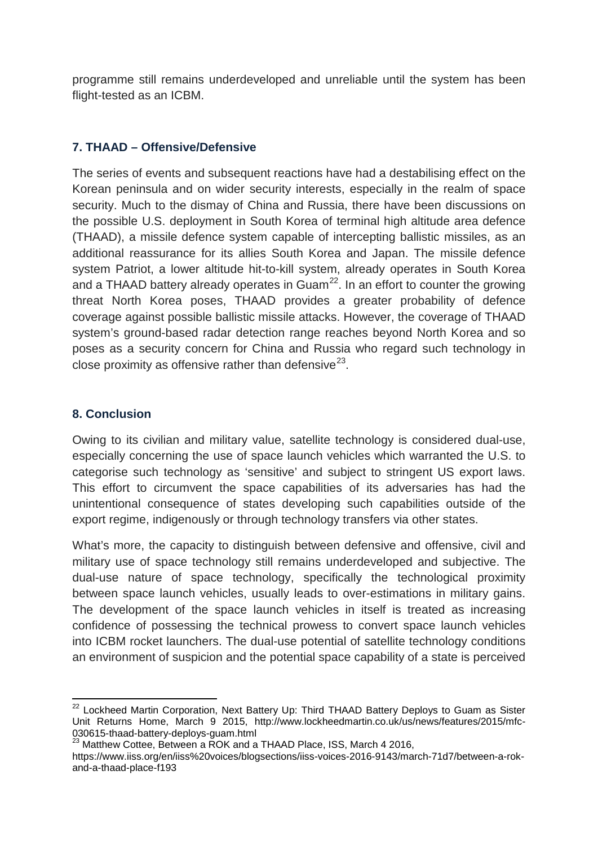programme still remains underdeveloped and unreliable until the system has been flight-tested as an ICBM.

#### **7. THAAD – Offensive/Defensive**

The series of events and subsequent reactions have had a destabilising effect on the Korean peninsula and on wider security interests, especially in the realm of space security. Much to the dismay of China and Russia, there have been discussions on the possible U.S. deployment in South Korea of terminal high altitude area defence (THAAD), a missile defence system capable of intercepting ballistic missiles, as an additional reassurance for its allies South Korea and Japan. The missile defence system Patriot, a lower altitude hit-to-kill system, already operates in South Korea and a THAAD battery already operates in  $Guan<sup>22</sup>$ . In an effort to counter the growing threat North Korea poses, THAAD provides a greater probability of defence coverage against possible ballistic missile attacks. However, the coverage of THAAD system's ground-based radar detection range reaches beyond North Korea and so poses as a security concern for China and Russia who regard such technology in close proximity as offensive rather than defensive  $2^3$ .

#### **8. Conclusion**

Owing to its civilian and military value, satellite technology is considered dual-use, especially concerning the use of space launch vehicles which warranted the U.S. to categorise such technology as 'sensitive' and subject to stringent US export laws. This effort to circumvent the space capabilities of its adversaries has had the unintentional consequence of states developing such capabilities outside of the export regime, indigenously or through technology transfers via other states.

What's more, the capacity to distinguish between defensive and offensive, civil and military use of space technology still remains underdeveloped and subjective. The dual-use nature of space technology, specifically the technological proximity between space launch vehicles, usually leads to over-estimations in military gains. The development of the space launch vehicles in itself is treated as increasing confidence of possessing the technical prowess to convert space launch vehicles into ICBM rocket launchers. The dual-use potential of satellite technology conditions an environment of suspicion and the potential space capability of a state is perceived

<span id="page-5-0"></span><sup>&</sup>lt;sup>22</sup> Lockheed Martin Corporation, Next Battery Up: Third THAAD Battery Deploys to Guam as Sister Unit Returns Home, March 9 2015, http://www.lockheedmartin.co.uk/us/news/features/2015/mfc-<br>030615-thaad-battery-deploys-guam.html

<sup>&</sup>lt;sup>23</sup> Matthew Cottee, Between a ROK and a THAAD Place, ISS, March 4 2016,

<span id="page-5-1"></span>https://www.iiss.org/en/iiss%20voices/blogsections/iiss-voices-2016-9143/march-71d7/between-a-rokand-a-thaad-place-f193